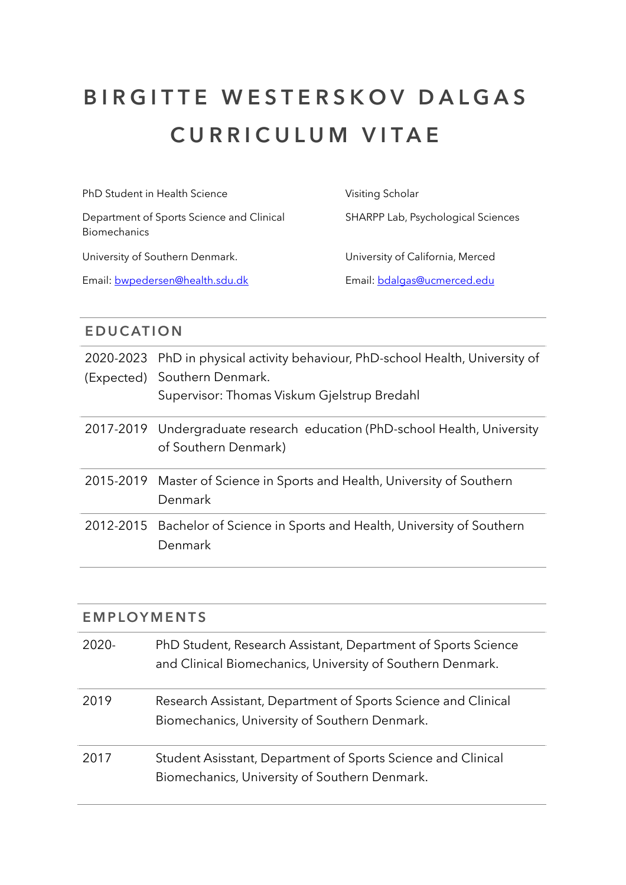## **BIRGITTE WESTERSKOV DALGAS CURRICULUM VITAE**

PhD Student in Health Science

Department of Sports Science and Clinical Biomechanics

University of Southern Denmark.

Email: [bwpedersen@health.sdu.dk](mailto:bwpedersen@health.sdu.dk)

Visiting Scholar SHARPP Lab, Psychological Sciences

University of California, Merced Email: [bdalgas@ucmerced.edu](mailto:bdalgas@ucmerced.edu)

## **EDUCATION**

| 2020-2023 PhD in physical activity behaviour, PhD-school Health, University of<br>(Expected) Southern Denmark.<br>Supervisor: Thomas Viskum Gjelstrup Bredahl |
|---------------------------------------------------------------------------------------------------------------------------------------------------------------|
| 2017-2019 Undergraduate research education (PhD-school Health, University<br>of Southern Denmark)                                                             |
| 2015-2019 Master of Science in Sports and Health, University of Southern<br>Denmark                                                                           |
| 2012-2015 Bachelor of Science in Sports and Health, University of Southern<br>Denmark                                                                         |

| <b>EMPLOYMENTS</b> |                                                                                                                             |  |  |
|--------------------|-----------------------------------------------------------------------------------------------------------------------------|--|--|
| $2020-$            | PhD Student, Research Assistant, Department of Sports Science<br>and Clinical Biomechanics, University of Southern Denmark. |  |  |
| 2019               | Research Assistant, Department of Sports Science and Clinical<br>Biomechanics, University of Southern Denmark.              |  |  |
| 2017               | Student Asisstant, Department of Sports Science and Clinical<br>Biomechanics, University of Southern Denmark.               |  |  |